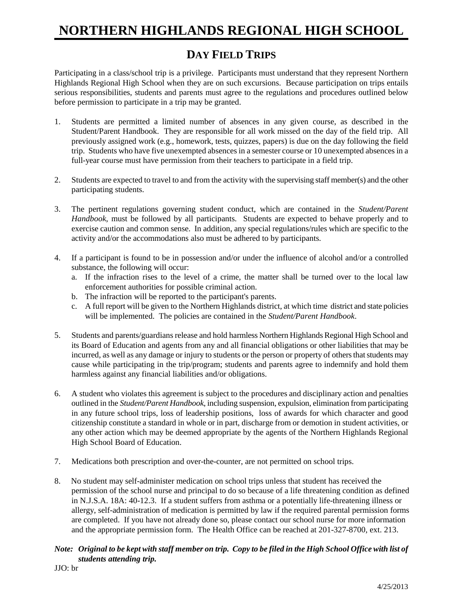## **NORTHERN HIGHLANDS REGIONAL HIGH SCHOOL**

## **DAY FIELD TRIPS**

Participating in a class/school trip is a privilege. Participants must understand that they represent Northern Highlands Regional High School when they are on such excursions. Because participation on trips entails serious responsibilities, students and parents must agree to the regulations and procedures outlined below before permission to participate in a trip may be granted.

- 1. Students are permitted a limited number of absences in any given course, as described in the Student/Parent Handbook. They are responsible for all work missed on the day of the field trip. All previously assigned work (e.g., homework, tests, quizzes, papers) is due on the day following the field trip. Students who have five unexempted absences in a semester course or 10 unexempted absences in a full-year course must have permission from their teachers to participate in a field trip.
- 2. Students are expected to travel to and from the activity with the supervising staff member(s) and the other participating students.
- 3. The pertinent regulations governing student conduct, which are contained in the *Student/Parent Handbook*, must be followed by all participants. Students are expected to behave properly and to exercise caution and common sense. In addition, any special regulations/rules which are specific to the activity and/or the accommodations also must be adhered to by participants.
- 4. If a participant is found to be in possession and/or under the influence of alcohol and/or a controlled substance, the following will occur:
	- a. If the infraction rises to the level of a crime, the matter shall be turned over to the local law enforcement authorities for possible criminal action.
	- b. The infraction will be reported to the participant's parents.
	- c. A full report will be given to the Northern Highlands district, at which time district and state policies will be implemented. The policies are contained in the *Student/Parent Handbook*.
- 5. Students and parents/guardians release and hold harmless Northern Highlands Regional High School and its Board of Education and agents from any and all financial obligations or other liabilities that may be incurred, as well as any damage or injury to students or the person or property of others that students may cause while participating in the trip/program; students and parents agree to indemnify and hold them harmless against any financial liabilities and/or obligations.
- 6. A student who violates this agreement is subject to the procedures and disciplinary action and penalties outlined in the *Student/Parent Handbook*, including suspension, expulsion, elimination from participating in any future school trips, loss of leadership positions, loss of awards for which character and good citizenship constitute a standard in whole or in part, discharge from or demotion in student activities, or any other action which may be deemed appropriate by the agents of the Northern Highlands Regional High School Board of Education.
- 7. Medications both prescription and over-the-counter, are not permitted on school trips.
- 8. No student may self-administer medication on school trips unless that student has received the permission of the school nurse and principal to do so because of a life threatening condition as defined in N.J.S.A. 18A: 40-12.3. If a student suffers from asthma or a potentially life-threatening illness or allergy, self-administration of medication is permitted by law if the required parental permission forms are completed. If you have not already done so, please contact our school nurse for more information and the appropriate permission form. The Health Office can be reached at 201-327-8700, ext. 213.

#### *Note: Original to be kept with staff member on trip. Copy to be filed in the High School Office with list of students attending trip.*